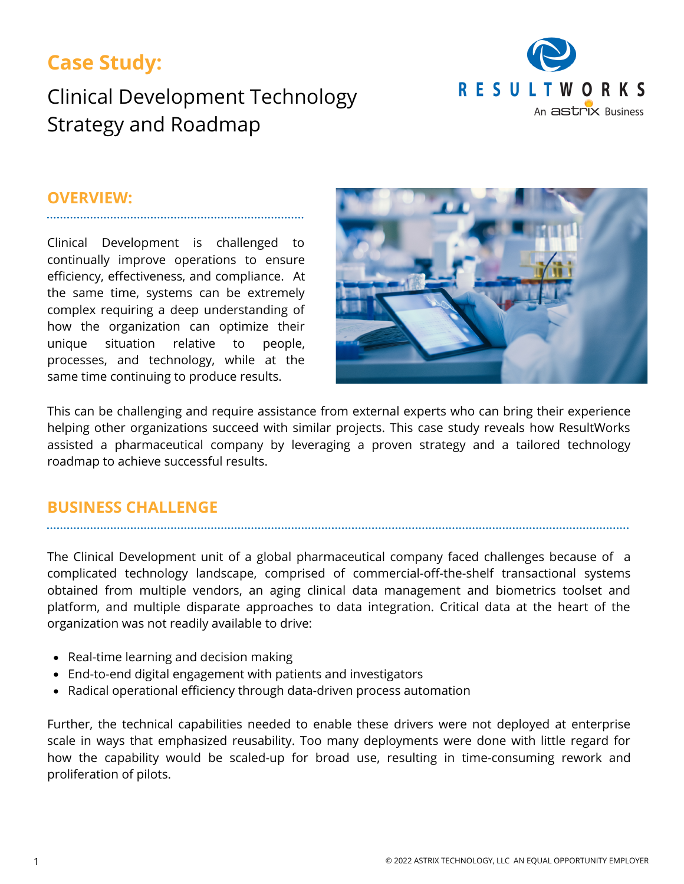## **Case Study:**

# Clinical Development Technology Strategy and Roadmap



#### **OVERVIEW:**

Clinical Development is challenged to continually improve operations to ensure efficiency, effectiveness, and compliance. At the same time, systems can be extremely complex requiring a deep understanding of how the organization can optimize their unique situation relative to people, processes, and technology, while at the same time continuing to produce results.



This can be challenging and require assistance from external experts who can bring their experience helping other organizations succeed with similar projects. This case study reveals how ResultWorks assisted a pharmaceutical company by leveraging a proven strategy and a tailored technology roadmap to achieve successful results.

#### **BUSINESS CHALLENGE**

The Clinical Development unit of a global pharmaceutical company faced challenges because of a complicated technology landscape, comprised of commercial-off-the-shelf transactional systems obtained from multiple vendors, an aging clinical data management and biometrics toolset and platform, and multiple disparate approaches to data integration. Critical data at the heart of the organization was not readily available to drive:

- Real-time learning and decision making
- End-to-end digital engagement with patients and investigators
- Radical operational efficiency through data-driven process automation

Further, the technical capabilities needed to enable these drivers were not deployed at enterprise scale in ways that emphasized reusability. Too many deployments were done with little regard for how the capability would be scaled-up for broad use, resulting in time-consuming rework and proliferation of pilots.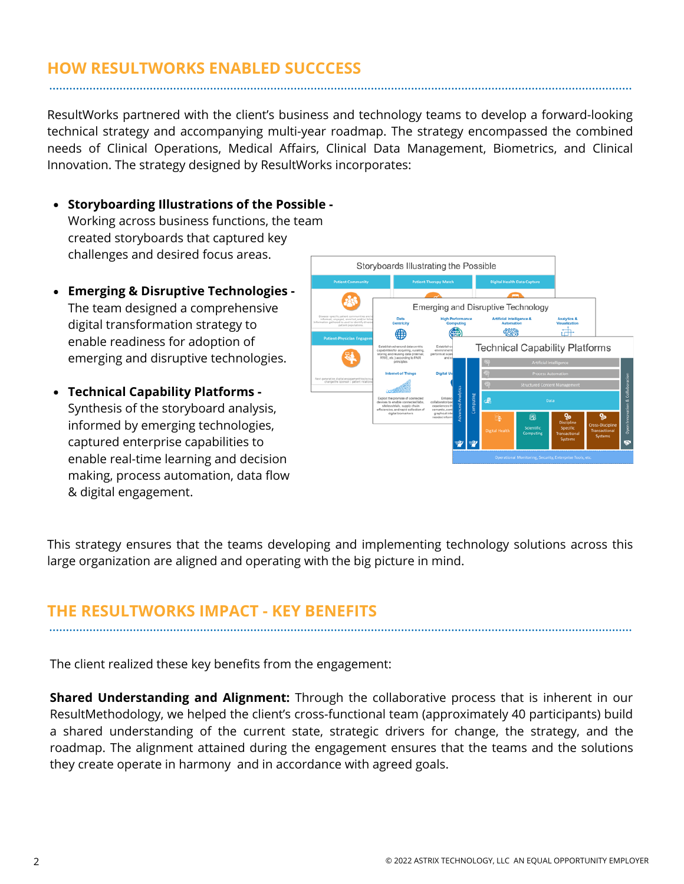## **HOW RESULTWORKS ENABLED SUCCCESS**

ResultWorks partnered with the client's business and technology teams to develop a forward-looking technical strategy and accompanying multi-year roadmap. The strategy encompassed the combined needs of Clinical Operations, Medical Affairs, Clinical Data Management, Biometrics, and Clinical Innovation. The strategy designed by ResultWorks incorporates:

- **Storyboarding Illustrations of the Possible -** Working across business functions, the team created storyboards that captured key challenges and desired focus areas.
- **Emerging & Disruptive Technologies -** The team designed a comprehensive digital transformation strategy to enable readiness for adoption of emerging and disruptive technologies.
- **Technical Capability Platforms -** Synthesis of the storyboard analysis, informed by emerging technologies, captured enterprise capabilities to enable real-time learning and decision making, process automation, data flow & digital engagement.



This strategy ensures that the teams developing and implementing technology solutions across this large organization are aligned and operating with the big picture in mind.

### **THE RESULTWORKS IMPACT - KEY BENEFITS**

The client realized these key benefits from the engagement:

**Shared Understanding and Alignment:** Through the collaborative process that is inherent in our ResultMethodology, we helped the client's cross-functional team (approximately 40 participants) build a shared understanding of the current state, strategic drivers for change, the strategy, and the roadmap. The alignment attained during the engagement ensures that the teams and the solutions they create operate in harmony and in accordance with agreed goals.